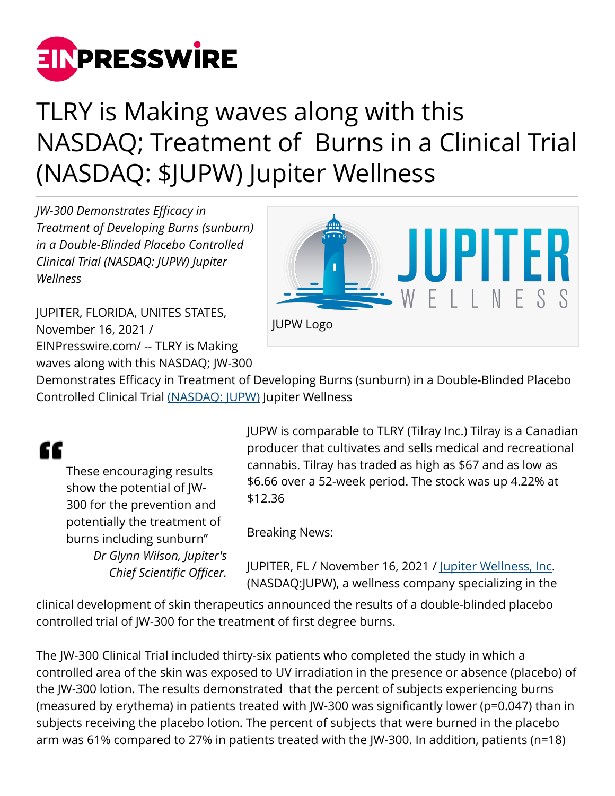

## TLRY is Making waves along with this NASDAQ; Treatment of Burns in a Clinical Trial (NASDAQ: \$JUPW) Jupiter Wellness

*JW-300 Demonstrates Efficacy in Treatment of Developing Burns (sunburn) in a Double-Blinded Placebo Controlled Clinical Trial (NASDAQ: JUPW) Jupiter Wellness*

JUPITER, FLORIDA, UNITES STATES, November 16, 2021 / [EINPresswire.com](http://www.einpresswire.com)/ -- TLRY is Making waves along with this NASDAQ; JW-300



Demonstrates Efficacy in Treatment of Developing Burns (sunburn) in a Double-Blinded Placebo Controlled Clinical Trial [\(NASDAQ: JUPW\)](https://finance.yahoo.com/quote/JUPW?p=JUPW) Jupiter Wellness

## ſſ

These encouraging results show the potential of JW-300 for the prevention and potentially the treatment of burns including sunburn" *Dr Glynn Wilson, Jupiter's Chief Scientific Officer.*

JUPW is comparable to TLRY (Tilray Inc.) Tilray is a Canadian producer that cultivates and sells medical and recreational cannabis. Tilray has traded as high as \$67 and as low as \$6.66 over a 52-week period. The stock was up 4.22% at \$12.36

Breaking News:

JUPITER, FL / November 16, 2021 / [Jupiter Wellness, Inc.](http://www.jupiterwellnessinc.com/) (NASDAQ:JUPW), a wellness company specializing in the

clinical development of skin therapeutics announced the results of a double-blinded placebo controlled trial of JW-300 for the treatment of first degree burns.

The JW-300 Clinical Trial included thirty-six patients who completed the study in which a controlled area of the skin was exposed to UV irradiation in the presence or absence (placebo) of the JW-300 lotion. The results demonstrated that the percent of subjects experiencing burns (measured by erythema) in patients treated with JW-300 was significantly lower (p=0.047) than in subjects receiving the placebo lotion. The percent of subjects that were burned in the placebo arm was 61% compared to 27% in patients treated with the JW-300. In addition, patients (n=18)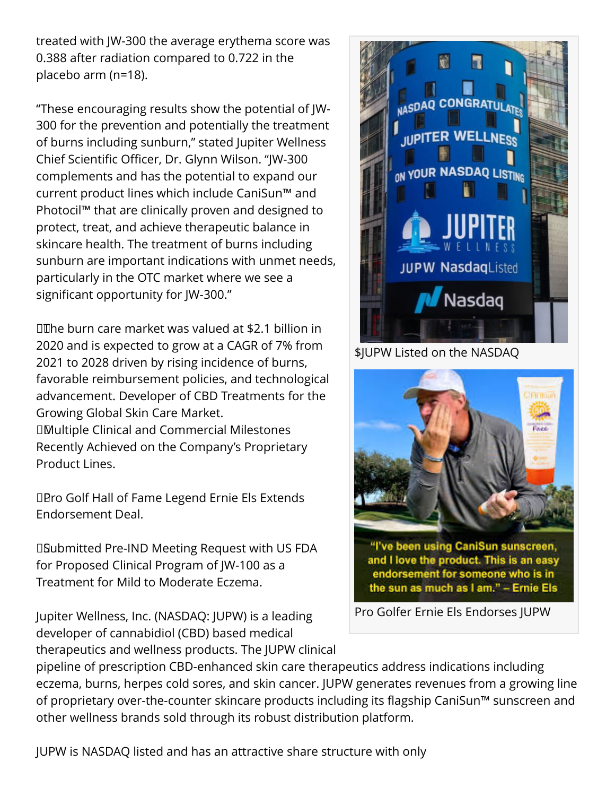treated with JW-300 the average erythema score was 0.388 after radiation compared to 0.722 in the placebo arm (n=18).

"These encouraging results show the potential of JW-300 for the prevention and potentially the treatment of burns including sunburn," stated Jupiter Wellness Chief Scientific Officer, Dr. Glynn Wilson. "JW-300 complements and has the potential to expand our current product lines which include CaniSun™ and Photocil™ that are clinically proven and designed to protect, treat, and achieve therapeutic balance in skincare health. The treatment of burns including sunburn are important indications with unmet needs, particularly in the OTC market where we see a significant opportunity for JW-300."

 The burn care market was valued at \$2.1 billion in 2020 and is expected to grow at a CAGR of 7% from 2021 to 2028 driven by rising incidence of burns, favorable reimbursement policies, and technological advancement. Developer of CBD Treatments for the Growing Global Skin Care Market. Multiple Clinical and Commercial Milestones Recently Achieved on the Company's Proprietary Product Lines.

**DBro Golf Hall of Fame Legend Ernie Els Extends** Endorsement Deal.

 Submitted Pre-IND Meeting Request with US FDA for Proposed Clinical Program of JW-100 as a Treatment for Mild to Moderate Eczema.

Jupiter Wellness, Inc. (NASDAQ: JUPW) is a leading developer of cannabidiol (CBD) based medical therapeutics and wellness products. The JUPW clinical



\$JUPW Listed on the NASDAQ



pipeline of prescription CBD-enhanced skin care therapeutics address indications including eczema, burns, herpes cold sores, and skin cancer. JUPW generates revenues from a growing line of proprietary over-the-counter skincare products including its flagship CaniSun™ sunscreen and other wellness brands sold through its robust distribution platform.

JUPW is NASDAQ listed and has an attractive share structure with only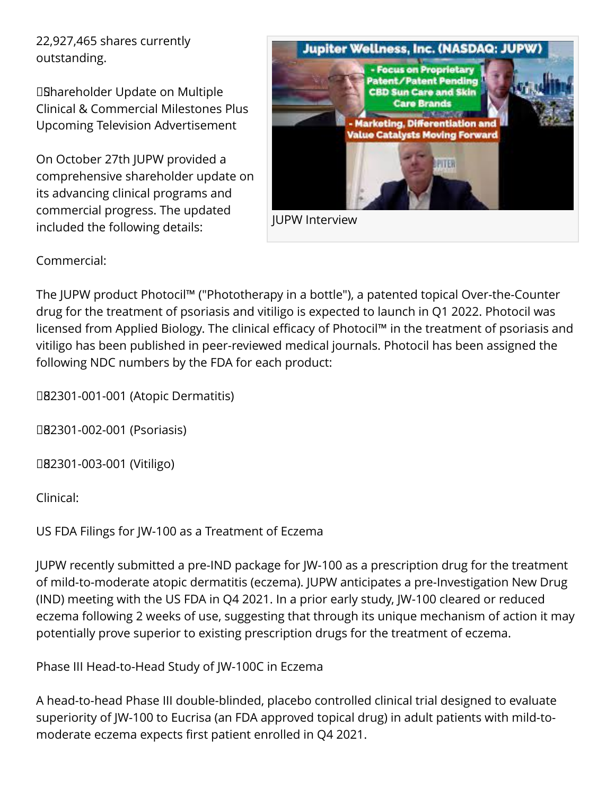22,927,465 shares currently outstanding.

 Shareholder Update on Multiple Clinical & Commercial Milestones Plus Upcoming Television Advertisement

On October 27th JUPW provided a comprehensive shareholder update on its advancing clinical programs and commercial progress. The updated included the following details:



Commercial:

The JUPW product Photocil™ ("Phototherapy in a bottle"), a patented topical Over-the-Counter drug for the treatment of psoriasis and vitiligo is expected to launch in Q1 2022. Photocil was licensed from Applied Biology. The clinical efficacy of Photocil™ in the treatment of psoriasis and vitiligo has been published in peer-reviewed medical journals. Photocil has been assigned the following NDC numbers by the FDA for each product:

 82301-001-001 (Atopic Dermatitis)

 82301-002-001 (Psoriasis)

 82301-003-001 (Vitiligo)

Clinical:

US FDA Filings for JW-100 as a Treatment of Eczema

JUPW recently submitted a pre-IND package for JW-100 as a prescription drug for the treatment of mild-to-moderate atopic dermatitis (eczema). JUPW anticipates a pre-Investigation New Drug (IND) meeting with the US FDA in Q4 2021. In a prior early study, JW-100 cleared or reduced eczema following 2 weeks of use, suggesting that through its unique mechanism of action it may potentially prove superior to existing prescription drugs for the treatment of eczema.

Phase III Head-to-Head Study of JW-100C in Eczema

A head-to-head Phase III double-blinded, placebo controlled clinical trial designed to evaluate superiority of JW-100 to Eucrisa (an FDA approved topical drug) in adult patients with mild-tomoderate eczema expects first patient enrolled in Q4 2021.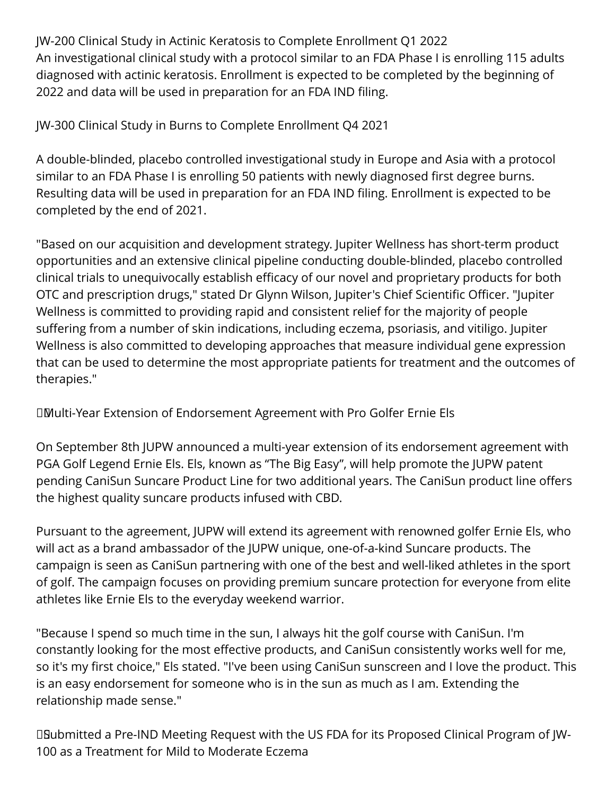JW-200 Clinical Study in Actinic Keratosis to Complete Enrollment Q1 2022 An investigational clinical study with a protocol similar to an FDA Phase I is enrolling 115 adults diagnosed with actinic keratosis. Enrollment is expected to be completed by the beginning of 2022 and data will be used in preparation for an FDA IND filing.

JW-300 Clinical Study in Burns to Complete Enrollment Q4 2021

A double-blinded, placebo controlled investigational study in Europe and Asia with a protocol similar to an FDA Phase I is enrolling 50 patients with newly diagnosed first degree burns. Resulting data will be used in preparation for an FDA IND filing. Enrollment is expected to be completed by the end of 2021.

"Based on our acquisition and development strategy. Jupiter Wellness has short-term product opportunities and an extensive clinical pipeline conducting double-blinded, placebo controlled clinical trials to unequivocally establish efficacy of our novel and proprietary products for both OTC and prescription drugs," stated Dr Glynn Wilson, Jupiter's Chief Scientific Officer. "Jupiter Wellness is committed to providing rapid and consistent relief for the majority of people suffering from a number of skin indications, including eczema, psoriasis, and vitiligo. Jupiter Wellness is also committed to developing approaches that measure individual gene expression that can be used to determine the most appropriate patients for treatment and the outcomes of therapies."

 Multi-Year Extension of Endorsement Agreement with Pro Golfer Ernie Els

On September 8th JUPW announced a multi-year extension of its endorsement agreement with PGA Golf Legend Ernie Els. Els, known as "The Big Easy", will help promote the JUPW patent pending CaniSun Suncare Product Line for two additional years. The CaniSun product line offers the highest quality suncare products infused with CBD.

Pursuant to the agreement, JUPW will extend its agreement with renowned golfer Ernie Els, who will act as a brand ambassador of the JUPW unique, one-of-a-kind Suncare products. The campaign is seen as CaniSun partnering with one of the best and well-liked athletes in the sport of golf. The campaign focuses on providing premium suncare protection for everyone from elite athletes like Ernie Els to the everyday weekend warrior.

"Because I spend so much time in the sun, I always hit the golf course with CaniSun. I'm constantly looking for the most effective products, and CaniSun consistently works well for me, so it's my first choice," Els stated. "I've been using CaniSun sunscreen and I love the product. This is an easy endorsement for someone who is in the sun as much as I am. Extending the relationship made sense."

DBubmitted a Pre-IND Meeting Request with the US FDA for its Proposed Clinical Program of JW-100 as a Treatment for Mild to Moderate Eczema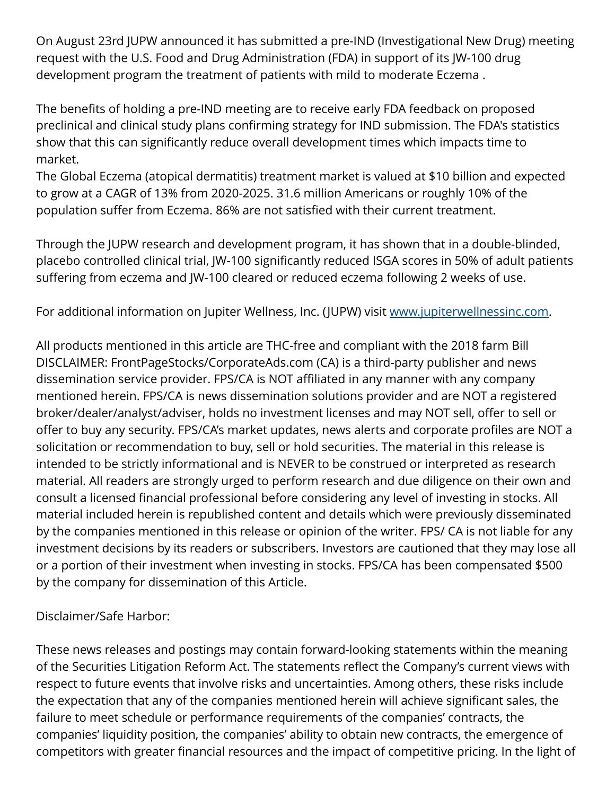On August 23rd JUPW announced it has submitted a pre-IND (Investigational New Drug) meeting request with the U.S. Food and Drug Administration (FDA) in support of its JW-100 drug development program the treatment of patients with mild to moderate Eczema .

The benefits of holding a pre-IND meeting are to receive early FDA feedback on proposed preclinical and clinical study plans confirming strategy for IND submission. The FDA's statistics show that this can significantly reduce overall development times which impacts time to market.

The Global Eczema (atopical dermatitis) treatment market is valued at \$10 billion and expected to grow at a CAGR of 13% from 2020-2025. 31.6 million Americans or roughly 10% of the population suffer from Eczema. 86% are not satisfied with their current treatment.

Through the JUPW research and development program, it has shown that in a double-blinded, placebo controlled clinical trial, JW-100 significantly reduced ISGA scores in 50% of adult patients suffering from eczema and JW-100 cleared or reduced eczema following 2 weeks of use.

For additional information on Jupiter Wellness, Inc. (JUPW) visit [www.jupiterwellnessinc.com](http://www.jupiterwellnessinc.com).

All products mentioned in this article are THC-free and compliant with the 2018 farm Bill DISCLAIMER: FrontPageStocks/CorporateAds.com (CA) is a third-party publisher and news dissemination service provider. FPS/CA is NOT affiliated in any manner with any company mentioned herein. FPS/CA is news dissemination solutions provider and are NOT a registered broker/dealer/analyst/adviser, holds no investment licenses and may NOT sell, offer to sell or offer to buy any security. FPS/CA's market updates, news alerts and corporate profiles are NOT a solicitation or recommendation to buy, sell or hold securities. The material in this release is intended to be strictly informational and is NEVER to be construed or interpreted as research material. All readers are strongly urged to perform research and due diligence on their own and consult a licensed financial professional before considering any level of investing in stocks. All material included herein is republished content and details which were previously disseminated by the companies mentioned in this release or opinion of the writer. FPS/ CA is not liable for any investment decisions by its readers or subscribers. Investors are cautioned that they may lose all or a portion of their investment when investing in stocks. FPS/CA has been compensated \$500 by the company for dissemination of this Article.

## Disclaimer/Safe Harbor:

These news releases and postings may contain forward-looking statements within the meaning of the Securities Litigation Reform Act. The statements reflect the Company's current views with respect to future events that involve risks and uncertainties. Among others, these risks include the expectation that any of the companies mentioned herein will achieve significant sales, the failure to meet schedule or performance requirements of the companies' contracts, the companies' liquidity position, the companies' ability to obtain new contracts, the emergence of competitors with greater financial resources and the impact of competitive pricing. In the light of